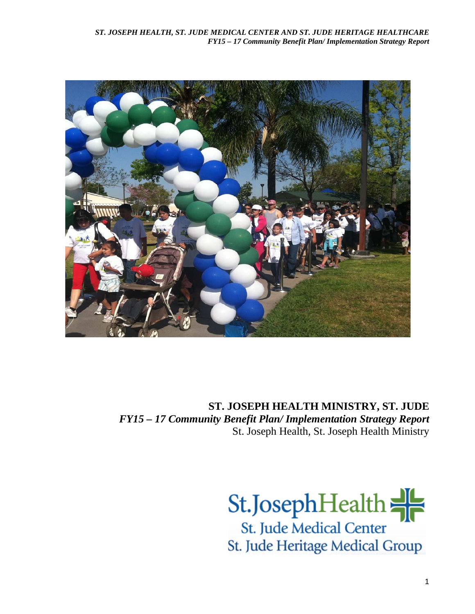

**ST. JOSEPH HEALTH MINISTRY, ST. JUDE** *FY15 – 17 Community Benefit Plan/ Implementation Strategy Report* St. Joseph Health, St. Joseph Health Ministry

> St.JosephHealth St. Jude Medical Center St. Jude Heritage Medical Group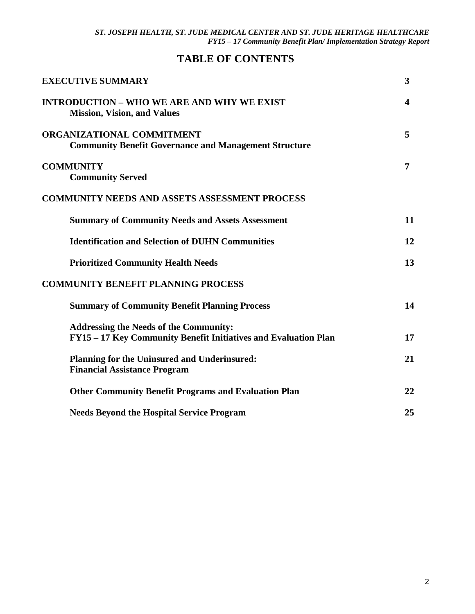# **TABLE OF CONTENTS**

| <b>EXECUTIVE SUMMARY</b>                                                                                         | 3              |
|------------------------------------------------------------------------------------------------------------------|----------------|
| <b>INTRODUCTION – WHO WE ARE AND WHY WE EXIST</b><br><b>Mission, Vision, and Values</b>                          | 4              |
| <b>ORGANIZATIONAL COMMITMENT</b><br><b>Community Benefit Governance and Management Structure</b>                 | 5              |
| <b>COMMUNITY</b><br><b>Community Served</b>                                                                      | $\overline{7}$ |
| <b>COMMUNITY NEEDS AND ASSETS ASSESSMENT PROCESS</b>                                                             |                |
| <b>Summary of Community Needs and Assets Assessment</b>                                                          | 11             |
| <b>Identification and Selection of DUHN Communities</b>                                                          | 12             |
| <b>Prioritized Community Health Needs</b>                                                                        | 13             |
| <b>COMMUNITY BENEFIT PLANNING PROCESS</b>                                                                        |                |
| <b>Summary of Community Benefit Planning Process</b>                                                             | 14             |
| <b>Addressing the Needs of the Community:</b><br>FY15 - 17 Key Community Benefit Initiatives and Evaluation Plan | 17             |
| Planning for the Uninsured and Underinsured:<br><b>Financial Assistance Program</b>                              | 21             |
| <b>Other Community Benefit Programs and Evaluation Plan</b>                                                      | 22             |
| <b>Needs Beyond the Hospital Service Program</b>                                                                 | 25             |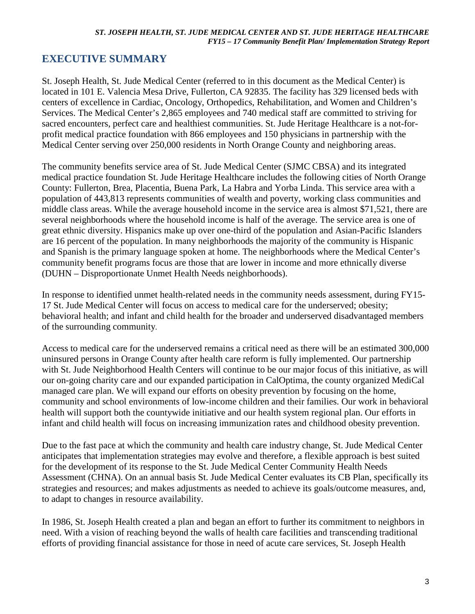# **EXECUTIVE SUMMARY**

St. Joseph Health, St. Jude Medical Center (referred to in this document as the Medical Center) is located in 101 E. Valencia Mesa Drive, Fullerton, CA 92835. The facility has 329 licensed beds with centers of excellence in Cardiac, Oncology, Orthopedics, Rehabilitation, and Women and Children's Services. The Medical Center's 2,865 employees and 740 medical staff are committed to striving for sacred encounters, perfect care and healthiest communities. St. Jude Heritage Healthcare is a not-forprofit medical practice foundation with 866 employees and 150 physicians in partnership with the Medical Center serving over 250,000 residents in North Orange County and neighboring areas.

The community benefits service area of St. Jude Medical Center (SJMC CBSA) and its integrated medical practice foundation St. Jude Heritage Healthcare includes the following cities of North Orange County: Fullerton, Brea, Placentia, Buena Park, La Habra and Yorba Linda. This service area with a population of 443,813 represents communities of wealth and poverty, working class communities and middle class areas. While the average household income in the service area is almost \$71,521, there are several neighborhoods where the household income is half of the average. The service area is one of great ethnic diversity. Hispanics make up over one-third of the population and Asian-Pacific Islanders are 16 percent of the population. In many neighborhoods the majority of the community is Hispanic and Spanish is the primary language spoken at home. The neighborhoods where the Medical Center's community benefit programs focus are those that are lower in income and more ethnically diverse (DUHN – Disproportionate Unmet Health Needs neighborhoods).

In response to identified unmet health-related needs in the community needs assessment, during FY15- 17 St. Jude Medical Center will focus on access to medical care for the underserved; obesity; behavioral health; and infant and child health for the broader and underserved disadvantaged members of the surrounding community.

Access to medical care for the underserved remains a critical need as there will be an estimated 300,000 uninsured persons in Orange County after health care reform is fully implemented. Our partnership with St. Jude Neighborhood Health Centers will continue to be our major focus of this initiative, as will our on-going charity care and our expanded participation in CalOptima, the county organized MediCal managed care plan. We will expand our efforts on obesity prevention by focusing on the home, community and school environments of low-income children and their families. Our work in behavioral health will support both the countywide initiative and our health system regional plan. Our efforts in infant and child health will focus on increasing immunization rates and childhood obesity prevention.

Due to the fast pace at which the community and health care industry change, St. Jude Medical Center anticipates that implementation strategies may evolve and therefore, a flexible approach is best suited for the development of its response to the St. Jude Medical Center Community Health Needs Assessment (CHNA). On an annual basis St. Jude Medical Center evaluates its CB Plan, specifically its strategies and resources; and makes adjustments as needed to achieve its goals/outcome measures, and, to adapt to changes in resource availability.

In 1986, St. Joseph Health created a plan and began an effort to further its commitment to neighbors in need. With a vision of reaching beyond the walls of health care facilities and transcending traditional efforts of providing financial assistance for those in need of acute care services, St. Joseph Health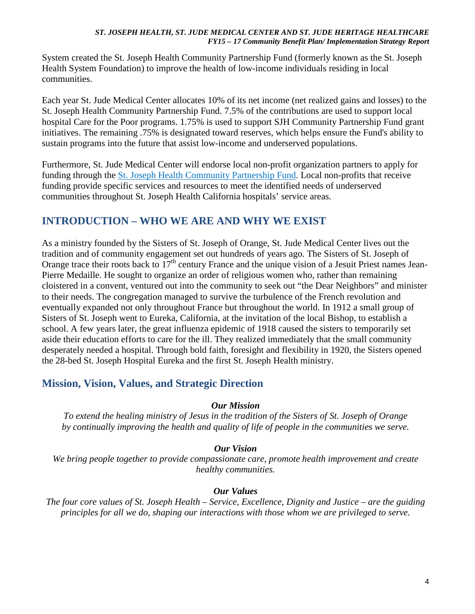System created the St. Joseph Health Community Partnership Fund (formerly known as the St. Joseph Health System Foundation) to improve the health of low-income individuals residing in local communities.

Each year St. Jude Medical Center allocates 10% of its net income (net realized gains and losses) to the St. Joseph Health Community Partnership Fund. 7.5% of the contributions are used to support local hospital Care for the Poor programs. 1.75% is used to support SJH Community Partnership Fund grant initiatives. The remaining .75% is designated toward reserves, which helps ensure the Fund's ability to sustain programs into the future that assist low-income and underserved populations.

Furthermore, St. Jude Medical Center will endorse local non-profit organization partners to apply for funding through the [St. Joseph Health Community Partnership Fund.](http://www.stjhs.org/SJH-Programs/SJH-Community-Partnership-Fund.aspx) Local non-profits that receive funding provide specific services and resources to meet the identified needs of underserved communities throughout St. Joseph Health California hospitals' service areas.

## **INTRODUCTION – WHO WE ARE AND WHY WE EXIST**

As a ministry founded by the Sisters of St. Joseph of Orange, St. Jude Medical Center lives out the tradition and of community engagement set out hundreds of years ago. The Sisters of St. Joseph of Orange trace their roots back to 17<sup>th</sup> century France and the unique vision of a Jesuit Priest names Jean-Pierre Medaille. He sought to organize an order of religious women who, rather than remaining cloistered in a convent, ventured out into the community to seek out "the Dear Neighbors" and minister to their needs. The congregation managed to survive the turbulence of the French revolution and eventually expanded not only throughout France but throughout the world. In 1912 a small group of Sisters of St. Joseph went to Eureka, California, at the invitation of the local Bishop, to establish a school. A few years later, the great influenza epidemic of 1918 caused the sisters to temporarily set aside their education efforts to care for the ill. They realized immediately that the small community desperately needed a hospital. Through bold faith, foresight and flexibility in 1920, the Sisters opened the 28-bed St. Joseph Hospital Eureka and the first St. Joseph Health ministry.

## **Mission, Vision, Values, and Strategic Direction**

### *Our Mission*

*To extend the healing ministry of Jesus in the tradition of the Sisters of St. Joseph of Orange by continually improving the health and quality of life of people in the communities we serve.*

*Our Vision*

*We bring people together to provide compassionate care, promote health improvement and create healthy communities.*

### *Our Values*

*The four core values of St. Joseph Health – Service, Excellence, Dignity and Justice – are the guiding principles for all we do, shaping our interactions with those whom we are privileged to serve.*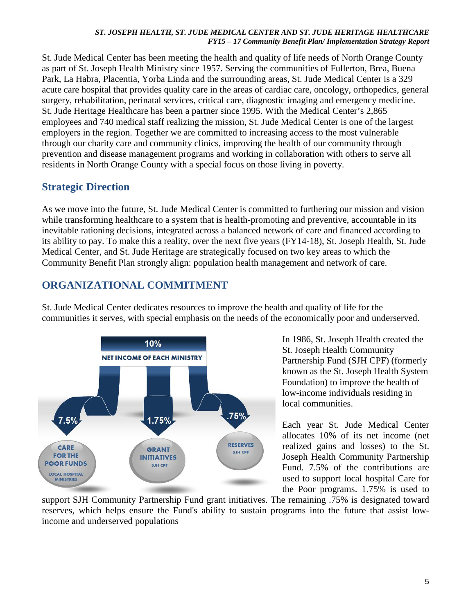St. Jude Medical Center has been meeting the health and quality of life needs of North Orange County as part of St. Joseph Health Ministry since 1957. Serving the communities of Fullerton, Brea, Buena Park, La Habra, Placentia, Yorba Linda and the surrounding areas, St. Jude Medical Center is a 329 acute care hospital that provides quality care in the areas of cardiac care, oncology, orthopedics, general surgery, rehabilitation, perinatal services, critical care, diagnostic imaging and emergency medicine. St. Jude Heritage Healthcare has been a partner since 1995. With the Medical Center's 2,865 employees and 740 medical staff realizing the mission, St. Jude Medical Center is one of the largest employers in the region. Together we are committed to increasing access to the most vulnerable through our charity care and community clinics, improving the health of our community through prevention and disease management programs and working in collaboration with others to serve all residents in North Orange County with a special focus on those living in poverty.

## **Strategic Direction**

As we move into the future, St. Jude Medical Center is committed to furthering our mission and vision while transforming healthcare to a system that is health-promoting and preventive, accountable in its inevitable rationing decisions, integrated across a balanced network of care and financed according to its ability to pay. To make this a reality, over the next five years (FY14-18), St. Joseph Health, St. Jude Medical Center, and St. Jude Heritage are strategically focused on two key areas to which the Community Benefit Plan strongly align: population health management and network of care.

# **ORGANIZATIONAL COMMITMENT**

St. Jude Medical Center dedicates resources to improve the health and quality of life for the communities it serves, with special emphasis on the needs of the economically poor and underserved.



In 1986, St. Joseph Health created the St. Joseph Health Community Partnership Fund (SJH CPF) (formerly known as the St. Joseph Health System Foundation) to improve the health of low-income individuals residing in local communities.

Each year St. Jude Medical Center allocates 10% of its net income (net realized gains and losses) to the St. Joseph Health Community Partnership Fund. 7.5% of the contributions are used to support local hospital Care for the Poor programs. 1.75% is used to

support SJH Community Partnership Fund grant initiatives. The remaining .75% is designated toward reserves, which helps ensure the Fund's ability to sustain programs into the future that assist lowincome and underserved populations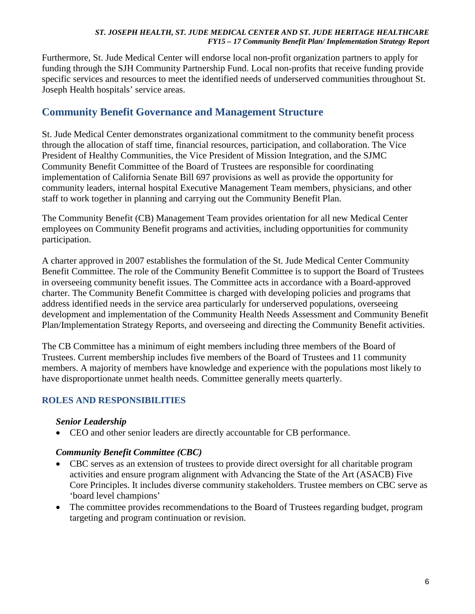Furthermore, St. Jude Medical Center will endorse local non-profit organization partners to apply for funding through the SJH Community Partnership Fund. Local non-profits that receive funding provide specific services and resources to meet the identified needs of underserved communities throughout St. Joseph Health hospitals' service areas.

## **Community Benefit Governance and Management Structure**

St. Jude Medical Center demonstrates organizational commitment to the community benefit process through the allocation of staff time, financial resources, participation, and collaboration. The Vice President of Healthy Communities, the Vice President of Mission Integration, and the SJMC Community Benefit Committee of the Board of Trustees are responsible for coordinating implementation of California Senate Bill 697 provisions as well as provide the opportunity for community leaders, internal hospital Executive Management Team members, physicians, and other staff to work together in planning and carrying out the Community Benefit Plan.

The Community Benefit (CB) Management Team provides orientation for all new Medical Center employees on Community Benefit programs and activities, including opportunities for community participation.

A charter approved in 2007 establishes the formulation of the St. Jude Medical Center Community Benefit Committee. The role of the Community Benefit Committee is to support the Board of Trustees in overseeing community benefit issues. The Committee acts in accordance with a Board-approved charter. The Community Benefit Committee is charged with developing policies and programs that address identified needs in the service area particularly for underserved populations, overseeing development and implementation of the Community Health Needs Assessment and Community Benefit Plan/Implementation Strategy Reports, and overseeing and directing the Community Benefit activities.

The CB Committee has a minimum of eight members including three members of the Board of Trustees. Current membership includes five members of the Board of Trustees and 11 community members. A majority of members have knowledge and experience with the populations most likely to have disproportionate unmet health needs. Committee generally meets quarterly.

## **ROLES AND RESPONSIBILITIES**

### *Senior Leadership*

• CEO and other senior leaders are directly accountable for CB performance.

#### *Community Benefit Committee (CBC)*

- CBC serves as an extension of trustees to provide direct oversight for all charitable program activities and ensure program alignment with Advancing the State of the Art (ASACB) Five Core Principles. It includes diverse community stakeholders. Trustee members on CBC serve as 'board level champions'
- The committee provides recommendations to the Board of Trustees regarding budget, program targeting and program continuation or revision.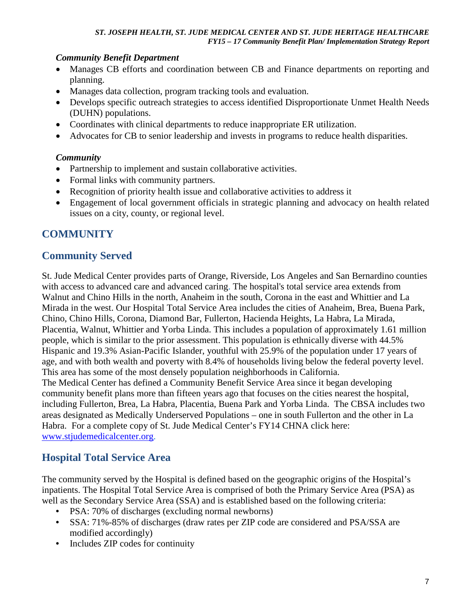## *Community Benefit Department*

- Manages CB efforts and coordination between CB and Finance departments on reporting and planning.
- Manages data collection, program tracking tools and evaluation.
- Develops specific outreach strategies to access identified Disproportionate Unmet Health Needs (DUHN) populations.
- Coordinates with clinical departments to reduce inappropriate ER utilization.
- Advocates for CB to senior leadership and invests in programs to reduce health disparities.

## *Community*

- Partnership to implement and sustain collaborative activities.
- Formal links with community partners.
- Recognition of priority health issue and collaborative activities to address it
- Engagement of local government officials in strategic planning and advocacy on health related issues on a city, county, or regional level.

# **COMMUNITY**

## **Community Served**

St. Jude Medical Center provides parts of Orange, Riverside, Los Angeles and San Bernardino counties with access to advanced care and advanced caring. The hospital's total service area extends from Walnut and Chino Hills in the north, Anaheim in the south, Corona in the east and Whittier and La Mirada in the west. Our Hospital Total Service Area includes the cities of Anaheim, Brea, Buena Park, Chino, Chino Hills, Corona, Diamond Bar, Fullerton, Hacienda Heights, La Habra, La Mirada, Placentia, Walnut, Whittier and Yorba Linda. This includes a population of approximately 1.61 million people, which is similar to the prior assessment. This population is ethnically diverse with 44.5% Hispanic and 19.3% Asian-Pacific Islander, youthful with 25.9% of the population under 17 years of age, and with both wealth and poverty with 8.4% of households living below the federal poverty level. This area has some of the most densely population neighborhoods in California. The Medical Center has defined a Community Benefit Service Area since it began developing community benefit plans more than fifteen years ago that focuses on the cities nearest the hospital, including Fullerton, Brea, La Habra, Placentia, Buena Park and Yorba Linda. The CBSA includes two areas designated as Medically Underserved Populations – one in south Fullerton and the other in La Habra. For a complete copy of St. Jude Medical Center's FY14 CHNA click here: [www.stjudemedicalcenter.org.](http://www.stjudemedicalcenter.org/)

## **Hospital Total Service Area**

The community served by the Hospital is defined based on the geographic origins of the Hospital's inpatients. The Hospital Total Service Area is comprised of both the Primary Service Area (PSA) as well as the Secondary Service Area (SSA) and is established based on the following criteria:

- PSA: 70% of discharges (excluding normal newborns)
- SSA: 71%-85% of discharges (draw rates per ZIP code are considered and PSA/SSA are modified accordingly)
- Includes ZIP codes for continuity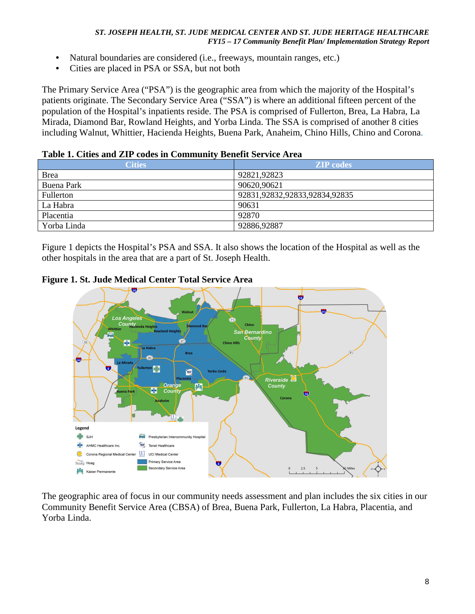- Natural boundaries are considered (i.e., freeways, mountain ranges, etc.)
- Cities are placed in PSA or SSA, but not both

The Primary Service Area ("PSA") is the geographic area from which the majority of the Hospital's patients originate. The Secondary Service Area ("SSA") is where an additional fifteen percent of the population of the Hospital's inpatients reside. The PSA is comprised of Fullerton, Brea, La Habra, La Mirada, Diamond Bar, Rowland Heights, and Yorba Linda. The SSA is comprised of another 8 cities including Walnut, Whittier, Hacienda Heights, Buena Park, Anaheim, Chino Hills, Chino and Corona.

### **Table 1. Cities and ZIP codes in Community Benefit Service Area**

| <b>Cities</b>     | <b>ZIP</b> codes              |
|-------------------|-------------------------------|
| <b>Brea</b>       | 92821,92823                   |
| <b>Buena Park</b> | 90620,90621                   |
| Fullerton         | 92831,92832,92833,92834,92835 |
| La Habra          | 90631                         |
| Placentia         | 92870                         |
| Yorba Linda       | 92886,92887                   |

Figure 1 depicts the Hospital's PSA and SSA. It also shows the location of the Hospital as well as the other hospitals in the area that are a part of St. Joseph Health.

### **Figure 1. St. Jude Medical Center Total Service Area**



The geographic area of focus in our community needs assessment and plan includes the six cities in our Community Benefit Service Area (CBSA) of Brea, Buena Park, Fullerton, La Habra, Placentia, and Yorba Linda.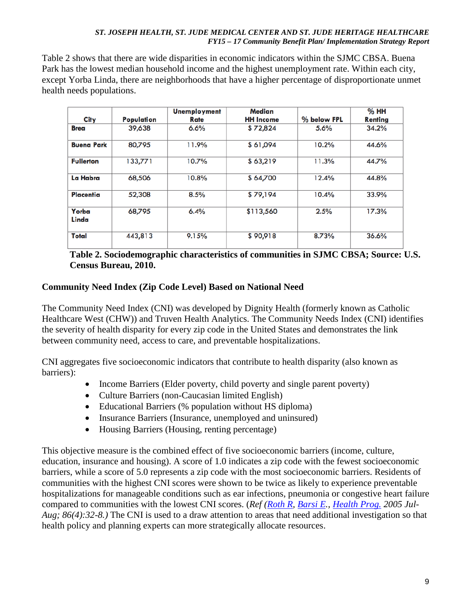Table 2 shows that there are wide disparities in economic indicators within the SJMC CBSA. Buena Park has the lowest median household income and the highest unemployment rate. Within each city, except Yorba Linda, there are neighborhoods that have a higher percentage of disproportionate unmet health needs populations.

| City              | Population | <b>Unemployment</b><br>Rate | Median<br><b>HH</b> Income | % below FPL | %HH<br>Renting |
|-------------------|------------|-----------------------------|----------------------------|-------------|----------------|
| <b>Brea</b>       | 39,638     | 6.6%                        | \$72,824                   | 5.6%        | 34.2%          |
| <b>Buena Park</b> | 80,795     | 11.9%                       | \$61,094                   | 10.2%       | 44.6%          |
| <b>Fullerton</b>  | 133,771    | 10.7%                       | \$63,219                   | 11.3%       | 44.7%          |
| La Habra          | 68,506     | 10.8%                       | \$64,700                   | 12.4%       | 44.8%          |
| Placentia         | 52,308     | 8.5%                        | \$79,194                   | 10.4%       | 33.9%          |
| Yorba<br>Linda    | 68,795     | 6.4%                        | \$113,560                  | 2.5%        | 17.3%          |
| Total             | 443,813    | 9.15%                       | \$90,918                   | 8.73%       | 36.6%          |

### **Table 2. Sociodemographic characteristics of communities in SJMC CBSA; Source: U.S. Census Bureau, 2010.**

## **Community Need Index (Zip Code Level) Based on National Need**

The Community Need Index (CNI) was developed by Dignity Health (formerly known as Catholic Healthcare West (CHW)) and Truven Health Analytics. The Community Needs Index (CNI) identifies the severity of health disparity for every zip code in the United States and demonstrates the link between community need, access to care, and preventable hospitalizations.

CNI aggregates five socioeconomic indicators that contribute to health disparity (also known as barriers):

- Income Barriers (Elder poverty, child poverty and single parent poverty)
- Culture Barriers (non-Caucasian limited English)
- Educational Barriers (% population without HS diploma)
- Insurance Barriers (Insurance, unemployed and uninsured)
- Housing Barriers (Housing, renting percentage)

This objective measure is the combined effect of five socioeconomic barriers (income, culture, education, insurance and housing). A score of 1.0 indicates a zip code with the fewest socioeconomic barriers, while a score of 5.0 represents a zip code with the most socioeconomic barriers. Residents of communities with the highest CNI scores were shown to be twice as likely to experience preventable hospitalizations for manageable conditions such as ear infections, pneumonia or congestive heart failure compared to communities with the lowest CNI scores. (*Ref [\(Roth R,](http://www.ncbi.nlm.nih.gov/pubmed?term=Roth%20R%5BAuthor%5D&cauthor=true&cauthor_uid=16092512) [Barsi E.](http://www.ncbi.nlm.nih.gov/pubmed?term=Barsi%20E%5BAuthor%5D&cauthor=true&cauthor_uid=16092512), [Health Prog.](http://www.ncbi.nlm.nih.gov/pubmed/16092512) 2005 Jul-Aug; 86(4):32-8.)* The CNI is used to a draw attention to areas that need additional investigation so that health policy and planning experts can more strategically allocate resources.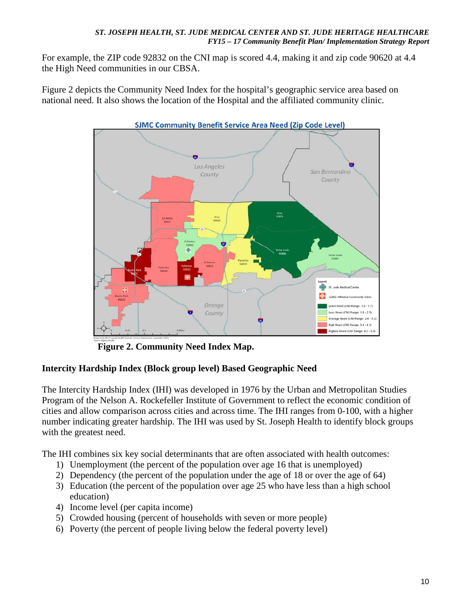For example, the ZIP code 92832 on the CNI map is scored 4.4, making it and zip code 90620 at 4.4 the High Need communities in our CBSA.

Figure 2 depicts the Community Need Index for the hospital's geographic service area based on national need. It also shows the location of the Hospital and the affiliated community clinic.



**Figure 2. Community Need Index Map.** 

## **Intercity Hardship Index (Block group level) Based Geographic Need**

The Intercity Hardship Index (IHI) was developed in 1976 by the Urban and Metropolitan Studies Program of the Nelson A. Rockefeller Institute of Government to reflect the economic condition of cities and allow comparison across cities and across time. The IHI ranges from 0-100, with a higher number indicating greater hardship. The IHI was used by St. Joseph Health to identify block groups with the greatest need.

The IHI combines six key social determinants that are often associated with health outcomes:

- 1) Unemployment (the percent of the population over age 16 that is unemployed)
- 2) Dependency (the percent of the population under the age of 18 or over the age of 64)
- 3) Education (the percent of the population over age 25 who have less than a high school education)
- 4) Income level (per capita income)
- 5) Crowded housing (percent of households with seven or more people)
- 6) Poverty (the percent of people living below the federal poverty level)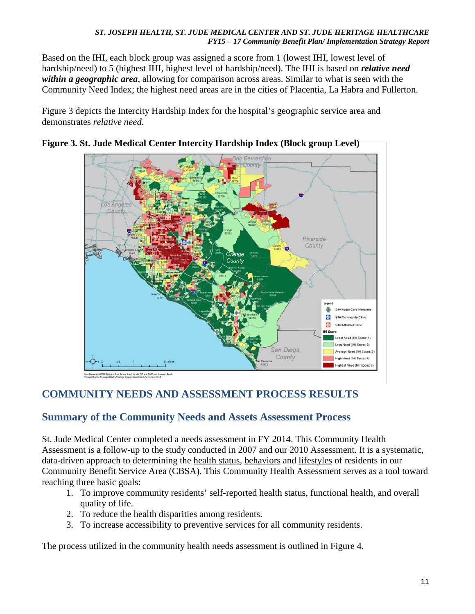Based on the IHI, each block group was assigned a score from 1 (lowest IHI, lowest level of hardship/need) to 5 (highest IHI, highest level of hardship/need). The IHI is based on *relative need within a geographic area*, allowing for comparison across areas. Similar to what is seen with the Community Need Index; the highest need areas are in the cities of Placentia, La Habra and Fullerton.

Figure 3 depicts the Intercity Hardship Index for the hospital's geographic service area and demonstrates *relative need*.



## **Figure 3. St. Jude Medical Center Intercity Hardship Index (Block group Level)**

## **COMMUNITY NEEDS AND ASSESSMENT PROCESS RESULTS**

## **Summary of the Community Needs and Assets Assessment Process**

St. Jude Medical Center completed a needs assessment in FY 2014. This Community Health Assessment is a follow-up to the study conducted in 2007 and our 2010 Assessment. It is a systematic, data-driven approach to determining the health status, behaviors and lifestyles of residents in our Community Benefit Service Area (CBSA). This Community Health Assessment serves as a tool toward reaching three basic goals:

- 1. To improve community residents' self-reported health status, functional health, and overall quality of life.
- 2. To reduce the health disparities among residents.
- 3. To increase accessibility to preventive services for all community residents.

The process utilized in the community health needs assessment is outlined in Figure 4.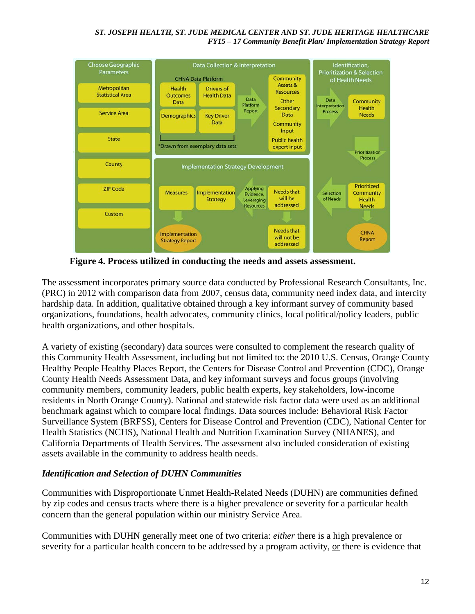

**Figure 4. Process utilized in conducting the needs and assets assessment.** 

The assessment incorporates primary source data conducted by Professional Research Consultants, Inc. (PRC) in 2012 with comparison data from 2007, census data, community need index data, and intercity hardship data. In addition, qualitative obtained through a key informant survey of community based organizations, foundations, health advocates, community clinics, local political/policy leaders, public health organizations, and other hospitals.

A variety of existing (secondary) data sources were consulted to complement the research quality of this Community Health Assessment, including but not limited to: the 2010 U.S. Census, Orange County Healthy People Healthy Places Report, the Centers for Disease Control and Prevention (CDC), Orange County Health Needs Assessment Data, and key informant surveys and focus groups (involving community members, community leaders, public health experts, key stakeholders, low-income residents in North Orange County). National and statewide risk factor data were used as an additional benchmark against which to compare local findings. Data sources include: Behavioral Risk Factor Surveillance System (BRFSS), Centers for Disease Control and Prevention (CDC), National Center for Health Statistics (NCHS), National Health and Nutrition Examination Survey (NHANES), and California Departments of Health Services. The assessment also included consideration of existing assets available in the community to address health needs.

### *Identification and Selection of DUHN Communities*

Communities with Disproportionate Unmet Health-Related Needs (DUHN) are communities defined by zip codes and census tracts where there is a higher prevalence or severity for a particular health concern than the general population within our ministry Service Area.

Communities with DUHN generally meet one of two criteria: *either* there is a high prevalence or severity for a particular health concern to be addressed by a program activity, or there is evidence that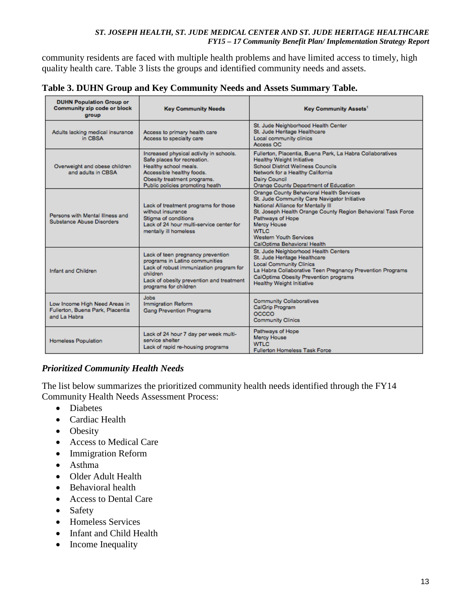community residents are faced with multiple health problems and have limited access to timely, high quality health care. Table 3 lists the groups and identified community needs and assets.

| <b>DUHN Population Group or</b><br>Community zip code or block<br>group           | <b>Key Community Needs</b>                                                                                                                                                                      | Key Community Assets <sup>1</sup>                                                                                                                                                                                                                                                                         |
|-----------------------------------------------------------------------------------|-------------------------------------------------------------------------------------------------------------------------------------------------------------------------------------------------|-----------------------------------------------------------------------------------------------------------------------------------------------------------------------------------------------------------------------------------------------------------------------------------------------------------|
| Adults lacking medical insurance<br>in CRSA                                       | Access to primary health care<br>Access to specialty care                                                                                                                                       | St. Jude Neighborhood Health Center<br>St. Jude Heritage Healthcare<br>Local community clinics<br>Access OC                                                                                                                                                                                               |
| Overweight and obese children<br>and adults in CBSA                               | Increased physical activity in schools.<br>Safe places for recreation.<br>Healthy school meals.<br>Accessible healthy foods.<br>Obesity treatment programs.<br>Public policies promoting heath  | Fullerton, Placentia, Buena Park, La Habra Collaboratives<br><b>Healthy Weight Initiative</b><br><b>School District Wellness Councils</b><br>Network for a Healthy California<br>Dairy Council<br>Orange County Department of Education                                                                   |
| Persons with Mental Illness and<br>Substance Abuse Disorders                      | Lack of treatment programs for those<br>without insurance<br>Stigma of conditions<br>Lack of 24 hour multi-service center for<br>mentally ill homeless                                          | Orange County Behavioral Health Services<br>St. Jude Community Care Navigator Initiative<br>National Alliance for Mentally III<br>St. Joseph Health Orange County Region Behavioral Task Force<br>Pathways of Hope<br>Mercy House<br>WTLC<br><b>Western Youth Services</b><br>CalOptima Behavioral Health |
| Infant and Children                                                               | Lack of teen pregnancy prevention<br>programs in Latino communities<br>Lack of robust immunization program for<br>children<br>Lack of obesity prevention and treatment<br>programs for children | St. Jude Neighborhood Health Centers<br>St. Jude Heritage Healthcare<br><b>Local Community Clinics</b><br>La Habra Collaborative Teen Pregnancy Prevention Programs<br>CalOptima Obesity Prevention programs<br><b>Healthy Weight Initiative</b>                                                          |
| Low Income High Need Areas in<br>Fullerton, Buena Park, Placentia<br>and La Habra | Jobs<br><b>Immigration Reform</b><br><b>Gang Prevention Programs</b>                                                                                                                            | <b>Community Collaboratives</b><br>CalGrip Program<br>OCCCO<br><b>Community Clinics</b>                                                                                                                                                                                                                   |
| Homeless Population                                                               | Lack of 24 hour 7 day per week multi-<br>service shelter<br>Lack of rapid re-housing programs                                                                                                   | Pathways of Hope<br>Mercy House<br>WTI C<br><b>Fullerton Homeless Task Force</b>                                                                                                                                                                                                                          |

**Table 3. DUHN Group and Key Community Needs and Assets Summary Table.**

## *Prioritized Community Health Needs*

The list below summarizes the prioritized community health needs identified through the FY14 Community Health Needs Assessment Process:

- Diabetes
- Cardiac Health
- Obesity
- Access to Medical Care
- Immigration Reform
- Asthma
- Older Adult Health
- Behavioral health
- Access to Dental Care
- Safety
- Homeless Services
- Infant and Child Health
- Income Inequality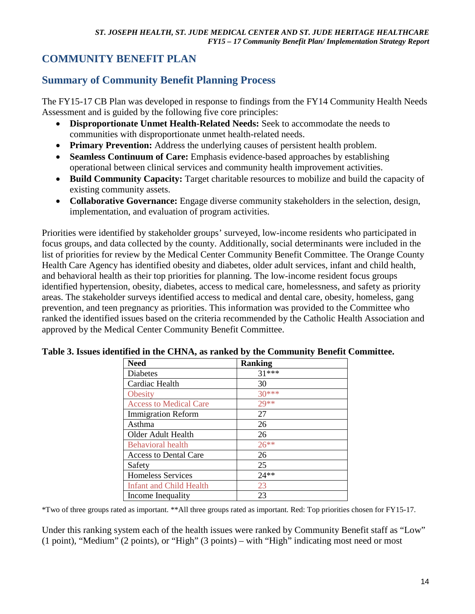# **COMMUNITY BENEFIT PLAN**

# **Summary of Community Benefit Planning Process**

The FY15-17 CB Plan was developed in response to findings from the FY14 Community Health Needs Assessment and is guided by the following five core principles:

- **Disproportionate Unmet Health-Related Needs:** Seek to accommodate the needs to communities with disproportionate unmet health-related needs.
- **Primary Prevention:** Address the underlying causes of persistent health problem.
- **Seamless Continuum of Care:** Emphasis evidence-based approaches by establishing operational between clinical services and community health improvement activities.
- **Build Community Capacity:** Target charitable resources to mobilize and build the capacity of existing community assets.
- **Collaborative Governance:** Engage diverse community stakeholders in the selection, design, implementation, and evaluation of program activities.

Priorities were identified by stakeholder groups' surveyed, low-income residents who participated in focus groups, and data collected by the county. Additionally, social determinants were included in the list of priorities for review by the Medical Center Community Benefit Committee. The Orange County Health Care Agency has identified obesity and diabetes, older adult services, infant and child health, and behavioral health as their top priorities for planning. The low-income resident focus groups identified hypertension, obesity, diabetes, access to medical care, homelessness, and safety as priority areas. The stakeholder surveys identified access to medical and dental care, obesity, homeless, gang prevention, and teen pregnancy as priorities. This information was provided to the Committee who ranked the identified issues based on the criteria recommended by the Catholic Health Association and approved by the Medical Center Community Benefit Committee.

| <b>Need</b>                   | <b>Ranking</b> |
|-------------------------------|----------------|
| <b>Diabetes</b>               | $31***$        |
| Cardiac Health                | 30             |
| <b>Obesity</b>                | $30***$        |
| <b>Access to Medical Care</b> | $29**$         |
| <b>Immigration Reform</b>     | 27             |
| Asthma                        | 26             |
| Older Adult Health            | 26             |
| <b>Behavioral</b> health      | $26**$         |
| <b>Access to Dental Care</b>  | 26             |
| Safety                        | 25             |
| Homeless Services             | $24**$         |
| Infant and Child Health       | 23             |
| Income Inequality             | 23             |

#### **Table 3. Issues identified in the CHNA, as ranked by the Community Benefit Committee.**

\*Two of three groups rated as important. \*\*All three groups rated as important. Red: Top priorities chosen for FY15-17.

Under this ranking system each of the health issues were ranked by Community Benefit staff as "Low" (1 point), "Medium" (2 points), or "High" (3 points) – with "High" indicating most need or most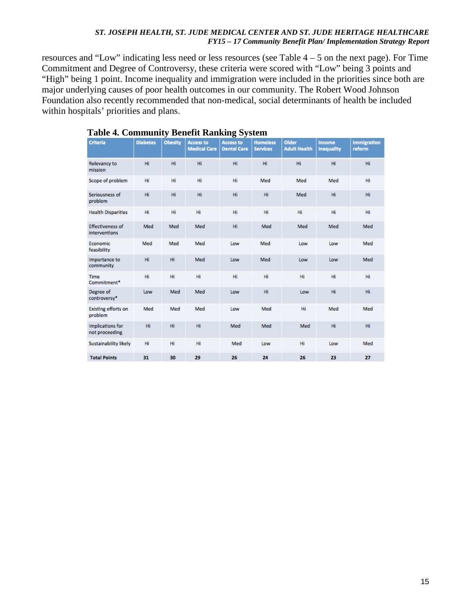resources and "Low" indicating less need or less resources (see Table 4 – 5 on the next page). For Time Commitment and Degree of Controversy, these criteria were scored with "Low" being 3 points and "High" being 1 point. Income inequality and immigration were included in the priorities since both are major underlying causes of poor health outcomes in our community. The Robert Wood Johnson Foundation also recently recommended that non-medical, social determinants of health be included within hospitals' priorities and plans.

| <b>Criteria</b>                           | <b>Diabetes</b> | ັ<br><b>Obesity</b> | <b>Access to</b><br><b>Medical Care</b> | o<br>$\overline{\phantom{a}}$<br><b>Access to</b><br><b>Dental Care</b> | <b>Homeless</b><br><b>Services</b> | <b>Older</b><br><b>Adult Health</b> | Income<br><b>Inequality</b> | <b>Immigration</b><br>reform |
|-------------------------------------------|-----------------|---------------------|-----------------------------------------|-------------------------------------------------------------------------|------------------------------------|-------------------------------------|-----------------------------|------------------------------|
| Relevancy to<br>mission                   | Hi              | Hi                  | Hi                                      | Hi                                                                      | Hi                                 | Hi                                  | Hi                          | Hi                           |
| Scope of problem                          | Hi              | Hi                  | Hi                                      | Hi                                                                      | Med                                | Med                                 | Med                         | Hi                           |
| Seriousness of<br>problem                 | Hi              | Hi                  | Hi                                      | Hi                                                                      | Hi                                 | Med                                 | Hi                          | Hi                           |
| <b>Health Disparities</b>                 | Hi              | Hi                  | Hi                                      | Hi                                                                      | Hi                                 | Hi                                  | Hi                          | Hi                           |
| <b>Effectiveness of</b><br>interventions  | Med             | Med                 | Med                                     | Hi                                                                      | Med                                | Med                                 | Med                         | Med                          |
| Economic<br>feasibility                   | Med             | Med                 | Med                                     | Low                                                                     | Med                                | Low                                 | Low                         | Med                          |
| Importance to<br>community                | Hi              | Hi                  | Med                                     | Low                                                                     | Med                                | Low                                 | Low                         | Med                          |
| <b>Time</b><br>Commitment*                | Hi              | Hi                  | Hi                                      | Hi                                                                      | Hi                                 | Hi                                  | Hi                          | Hi                           |
| Degree of<br>controversy*                 | Low             | Med                 | Med                                     | Low                                                                     | Hi                                 | Low                                 | Hi                          | Hi                           |
| <b>Existing efforts on</b><br>problem     | Med             | Med                 | Med                                     | Low                                                                     | Med                                | Hi                                  | Med                         | Med                          |
| <b>Implications for</b><br>not proceeding | Hi              | Hi                  | Hi                                      | Med                                                                     | Med                                | Med                                 | Hi                          | Hi                           |
| Sustainability likely                     | Hi              | Hi                  | Hi                                      | Med                                                                     | Low                                | Hi                                  | Low                         | Med                          |
| <b>Total Points</b>                       | 31              | 30                  | 29                                      | 26                                                                      | 24                                 | 26                                  | 23                          | 27                           |

#### **Table 4. Community Benefit Ranking System**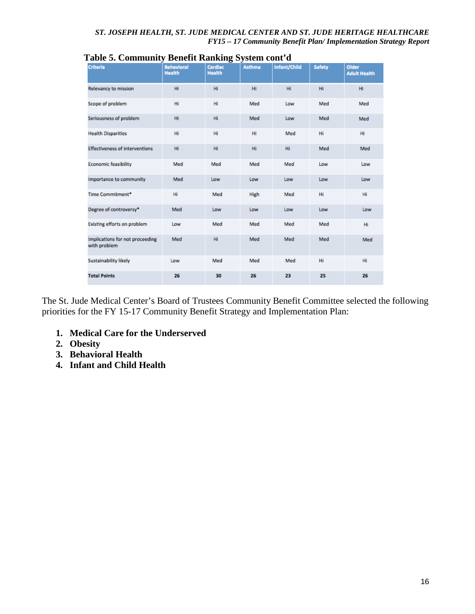| <b>Criteria</b>                                 | <b>Behavioral</b><br><b>Health</b> | Cardiac<br><b>Health</b> | <b>Asthma</b> | Infant/Child | <b>Safety</b> | <b>Older</b><br><b>Adult Health</b> |
|-------------------------------------------------|------------------------------------|--------------------------|---------------|--------------|---------------|-------------------------------------|
| Relevancy to mission                            | Hi                                 | Hi                       | Hi            | Hi           | Hi            | Hi.                                 |
| Scope of problem                                | Hi                                 | Hi                       | Med           | Low          | Med           | Med                                 |
| Seriousness of problem                          | Hi                                 | Hi                       | Med           | Low          | Med           | Med                                 |
| <b>Health Disparities</b>                       | Hi                                 | Hi                       | Hi            | Med          | Hi            | Hi                                  |
| <b>Effectiveness of interventions</b>           | Hi                                 | Hi                       | Hi            | Hi           | Med           | Med                                 |
| <b>Economic feasibility</b>                     | Med                                | Med                      | Med           | Med          | Low           | Low                                 |
| Importance to community                         | Med                                | Low                      | Low           | Low          | Low           | Low                                 |
| Time Commitment*                                | Hi                                 | Med                      | High          | Med          | Hi            | Hi                                  |
| Degree of controversy*                          | Med                                | Low                      | Low           | Low          | Low           | Low                                 |
| Existing efforts on problem                     | Low                                | Med                      | Med           | Med          | Med           | Hi                                  |
| Implications for not proceeding<br>with problem | Med                                | Hi                       | Med           | Med          | Med           | Med                                 |
| Sustainability likely                           | Low                                | Med                      | Med           | Med          | Hi            | Hi                                  |
| <b>Total Points</b>                             | 26                                 | 30                       | 26            | 23           | 25            | 26                                  |

### **Table 5. Community Benefit Ranking System cont'd**

The St. Jude Medical Center's Board of Trustees Community Benefit Committee selected the following priorities for the FY 15-17 Community Benefit Strategy and Implementation Plan:

- **1. Medical Care for the Underserved**
- **2. Obesity**
- **3. Behavioral Health**
- **4. Infant and Child Health**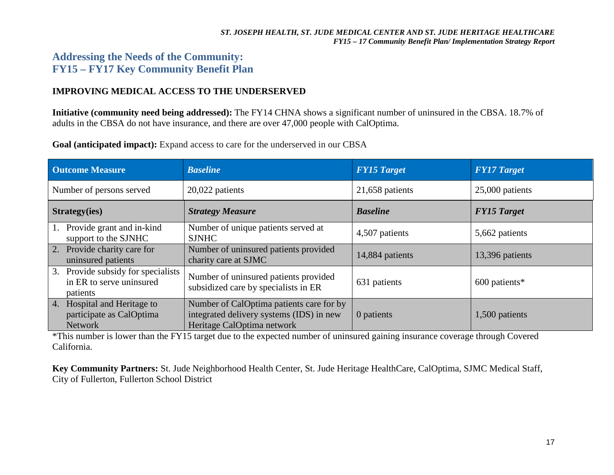## **Addressing the Needs of the Community: FY15 – FY17 Key Community Benefit Plan**

### **IMPROVING MEDICAL ACCESS TO THE UNDERSERVED**

**Initiative (community need being addressed):** The FY14 CHNA shows a significant number of uninsured in the CBSA. 18.7% of adults in the CBSA do not have insurance, and there are over 47,000 people with CalOptima.

**Goal (anticipated impact):** Expand access to care for the underserved in our CBSA

| <b>Outcome Measure</b>                                                        | <b>Baseline</b>                                                                                                    | <b>FY15 Target</b> | <b>FY17 Target</b> |
|-------------------------------------------------------------------------------|--------------------------------------------------------------------------------------------------------------------|--------------------|--------------------|
| Number of persons served                                                      | 20,022 patients                                                                                                    | 21,658 patients    | 25,000 patients    |
| Strategy(ies)                                                                 | <b>Strategy Measure</b>                                                                                            | <b>Baseline</b>    | <b>FY15 Target</b> |
| Provide grant and in-kind<br>support to the SJNHC                             | Number of unique patients served at<br><b>SJNHC</b>                                                                | 4,507 patients     | 5,662 patients     |
| 2. Provide charity care for<br>uninsured patients                             | Number of uninsured patients provided<br>charity care at SJMC                                                      | 14,884 patients    | 13,396 patients    |
| 3.<br>Provide subsidy for specialists<br>in ER to serve uninsured<br>patients | Number of uninsured patients provided<br>subsidized care by specialists in ER                                      | 631 patients       | 600 patients*      |
| 4. Hospital and Heritage to<br>participate as CalOptima<br><b>Network</b>     | Number of CalOptima patients care for by<br>integrated delivery systems (IDS) in new<br>Heritage CalOptima network | 0 patients         | 1,500 patients     |

\*This number is lower than the FY15 target due to the expected number of uninsured gaining insurance coverage through Covered California.

**Key Community Partners:** St. Jude Neighborhood Health Center, St. Jude Heritage HealthCare, CalOptima, SJMC Medical Staff, City of Fullerton, Fullerton School District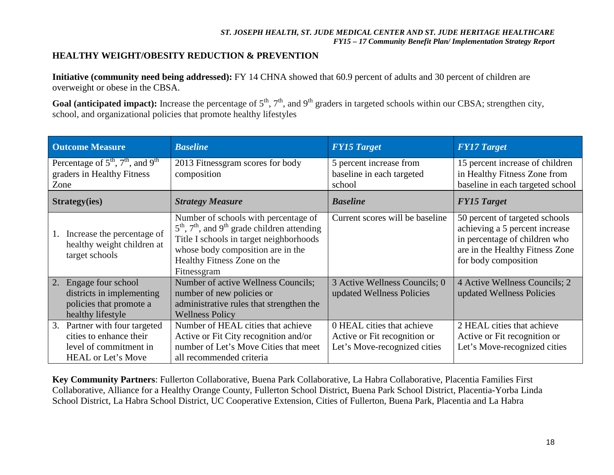### **HEALTHY WEIGHT/OBESITY REDUCTION & PREVENTION**

**Initiative (community need being addressed):** FY 14 CHNA showed that 60.9 percent of adults and 30 percent of children are overweight or obese in the CBSA.

Goal (anticipated impact): Increase the percentage of 5<sup>th</sup>, 7<sup>th</sup>, and 9<sup>th</sup> graders in targeted schools within our CBSA; strengthen city, school, and organizational policies that promote healthy lifestyles

| <b>Outcome Measure</b>                                                                                             | <b>Baseline</b>                                                                                                                                                                                                                                        | <b>FY15 Target</b>                                                                         | <b>FY17 Target</b>                                                                                                                                           |
|--------------------------------------------------------------------------------------------------------------------|--------------------------------------------------------------------------------------------------------------------------------------------------------------------------------------------------------------------------------------------------------|--------------------------------------------------------------------------------------------|--------------------------------------------------------------------------------------------------------------------------------------------------------------|
| Percentage of $5^{\text{th}}$ , $7^{\text{th}}$ , and $9^{\text{th}}$<br>graders in Healthy Fitness<br>Zone        | 2013 Fitnessgram scores for body<br>composition                                                                                                                                                                                                        | 5 percent increase from<br>baseline in each targeted<br>school                             | 15 percent increase of children<br>in Healthy Fitness Zone from<br>baseline in each targeted school                                                          |
| <b>Strategy(ies)</b>                                                                                               | <b>Strategy Measure</b>                                                                                                                                                                                                                                | <b>Baseline</b>                                                                            | <b>FY15 Target</b>                                                                                                                                           |
| Increase the percentage of<br>1.<br>healthy weight children at<br>target schools                                   | Number of schools with percentage of<br>$5^{\text{th}}$ , $7^{\text{th}}$ , and $9^{\text{th}}$ grade children attending<br>Title I schools in target neighborhoods<br>whose body composition are in the<br>Healthy Fitness Zone on the<br>Fitnessgram | Current scores will be baseline                                                            | 50 percent of targeted schools<br>achieving a 5 percent increase<br>in percentage of children who<br>are in the Healthy Fitness Zone<br>for body composition |
| Engage four school<br>2.<br>districts in implementing<br>policies that promote a<br>healthy lifestyle              | Number of active Wellness Councils;<br>number of new policies or<br>administrative rules that strengthen the<br><b>Wellness Policy</b>                                                                                                                 | 3 Active Wellness Councils; 0<br>updated Wellness Policies                                 | 4 Active Wellness Councils; 2<br>updated Wellness Policies                                                                                                   |
| 3.<br>Partner with four targeted<br>cities to enhance their<br>level of commitment in<br><b>HEAL</b> or Let's Move | Number of HEAL cities that achieve<br>Active or Fit City recognition and/or<br>number of Let's Move Cities that meet<br>all recommended criteria                                                                                                       | 0 HEAL cities that achieve<br>Active or Fit recognition or<br>Let's Move-recognized cities | 2 HEAL cities that achieve<br>Active or Fit recognition or<br>Let's Move-recognized cities                                                                   |

**Key Community Partners**: Fullerton Collaborative, Buena Park Collaborative, La Habra Collaborative, Placentia Families First Collaborative, Alliance for a Healthy Orange County, Fullerton School District, Buena Park School District, Placentia-Yorba Linda School District, La Habra School District, UC Cooperative Extension, Cities of Fullerton, Buena Park, Placentia and La Habra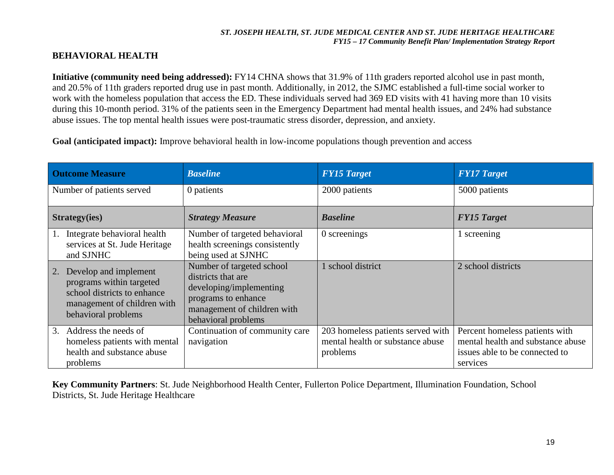### **BEHAVIORAL HEALTH**

**Initiative (community need being addressed):** FY14 CHNA shows that 31.9% of 11th graders reported alcohol use in past month, and 20.5% of 11th graders reported drug use in past month. Additionally, in 2012, the SJMC established a full-time social worker to work with the homeless population that access the ED. These individuals served had 369 ED visits with 41 having more than 10 visits during this 10-month period. 31% of the patients seen in the Emergency Department had mental health issues, and 24% had substance abuse issues. The top mental health issues were post-traumatic stress disorder, depression, and anxiety.

**Goal (anticipated impact):** Improve behavioral health in low-income populations though prevention and access

| <b>Outcome Measure</b>                                                                                                                       | <b>Baseline</b>                                                                                                                                         | <b>FY15 Target</b>                                                                | <b>FY17 Target</b>                                                                                                |
|----------------------------------------------------------------------------------------------------------------------------------------------|---------------------------------------------------------------------------------------------------------------------------------------------------------|-----------------------------------------------------------------------------------|-------------------------------------------------------------------------------------------------------------------|
| Number of patients served                                                                                                                    | 0 patients                                                                                                                                              | 2000 patients                                                                     | 5000 patients                                                                                                     |
| <b>Strategy(ies)</b>                                                                                                                         | <b>Strategy Measure</b>                                                                                                                                 | <b>Baseline</b>                                                                   | <b>FY15 Target</b>                                                                                                |
| Integrate behavioral health<br>services at St. Jude Heritage<br>and SJNHC                                                                    | Number of targeted behavioral<br>health screenings consistently<br>being used at SJNHC                                                                  | 0 screenings                                                                      | 1 screening                                                                                                       |
| Develop and implement<br>2.<br>programs within targeted<br>school districts to enhance<br>management of children with<br>behavioral problems | Number of targeted school<br>districts that are<br>developing/implementing<br>programs to enhance<br>management of children with<br>behavioral problems | school district                                                                   | 2 school districts                                                                                                |
| Address the needs of<br>3.<br>homeless patients with mental<br>health and substance abuse<br>problems                                        | Continuation of community care<br>navigation                                                                                                            | 203 homeless patients served with<br>mental health or substance abuse<br>problems | Percent homeless patients with<br>mental health and substance abuse<br>issues able to be connected to<br>services |

**Key Community Partners**: St. Jude Neighborhood Health Center, Fullerton Police Department, Illumination Foundation, School Districts, St. Jude Heritage Healthcare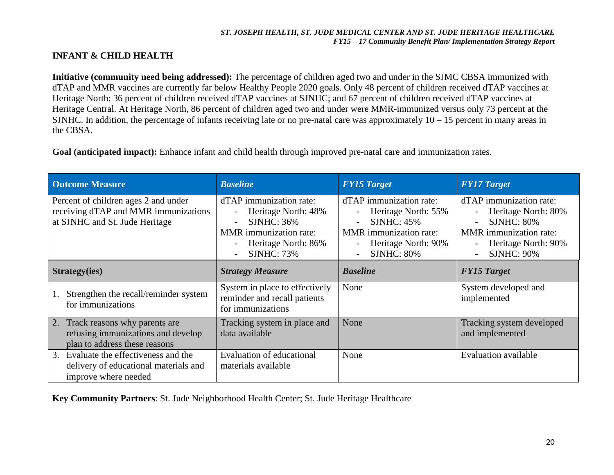### **INFANT & CHILD HEALTH**

**Initiative (community need being addressed):** The percentage of children aged two and under in the SJMC CBSA immunized with dTAP and MMR vaccines are currently far below Healthy People 2020 goals. Only 48 percent of children received dTAP vaccines at Heritage North; 36 percent of children received dTAP vaccines at SJNHC; and 67 percent of children received dTAP vaccines at Heritage Central. At Heritage North, 86 percent of children aged two and under were MMR-immunized versus only 73 percent at the SJNHC. In addition, the percentage of infants receiving late or no pre-natal care was approximately  $10 - 15$  percent in many areas in the CBSA.

**Goal (anticipated impact):** Enhance infant and child health through improved pre-natal care and immunization rates.

| <b>Outcome Measure</b>                                                                                         | <b>Baseline</b>                                                                                                                                                                                                                                                  | <b>FY15 Target</b>                                                                                                                           | <b>FY17 Target</b>                                                                                                                                                           |
|----------------------------------------------------------------------------------------------------------------|------------------------------------------------------------------------------------------------------------------------------------------------------------------------------------------------------------------------------------------------------------------|----------------------------------------------------------------------------------------------------------------------------------------------|------------------------------------------------------------------------------------------------------------------------------------------------------------------------------|
| Percent of children ages 2 and under<br>receiving dTAP and MMR immunizations<br>at SJNHC and St. Jude Heritage | dTAP immunization rate:<br>Heritage North: 48%<br>$\overline{\phantom{a}}$<br><b>SJNHC: 36%</b><br>$\overline{\phantom{a}}$<br><b>MMR</b> immunization rate:<br>Heritage North: 86%<br>$\overline{\phantom{a}}$<br><b>SJNHC: 73%</b><br>$\overline{\phantom{a}}$ | dTAP immunization rate:<br>Heritage North: 55%<br>$SIMHC: 45\%$<br><b>MMR</b> immunization rate:<br>Heritage North: 90%<br><b>SJNHC: 80%</b> | dTAP immunization rate:<br>Heritage North: 80%<br><b>SJNHC: 80%</b><br>$\overline{\phantom{0}}$<br><b>MMR</b> immunization rate:<br>Heritage North: 90%<br><b>SJNHC: 90%</b> |
| Strategy(ies)                                                                                                  | <b>Strategy Measure</b>                                                                                                                                                                                                                                          | <b>Baseline</b>                                                                                                                              | <b>FY15 Target</b>                                                                                                                                                           |
| Strengthen the recall/reminder system<br>for immunizations                                                     | System in place to effectively<br>reminder and recall patients<br>for immunizations                                                                                                                                                                              | None                                                                                                                                         | System developed and<br>implemented                                                                                                                                          |
| Track reasons why parents are<br>2.<br>refusing immunizations and develop<br>plan to address these reasons     | Tracking system in place and<br>data available                                                                                                                                                                                                                   | None                                                                                                                                         | Tracking system developed<br>and implemented                                                                                                                                 |
| Evaluate the effectiveness and the<br>3.<br>delivery of educational materials and<br>improve where needed      | Evaluation of educational<br>materials available                                                                                                                                                                                                                 | None                                                                                                                                         | <b>Evaluation available</b>                                                                                                                                                  |

**Key Community Partners**: St. Jude Neighborhood Health Center; St. Jude Heritage Healthcare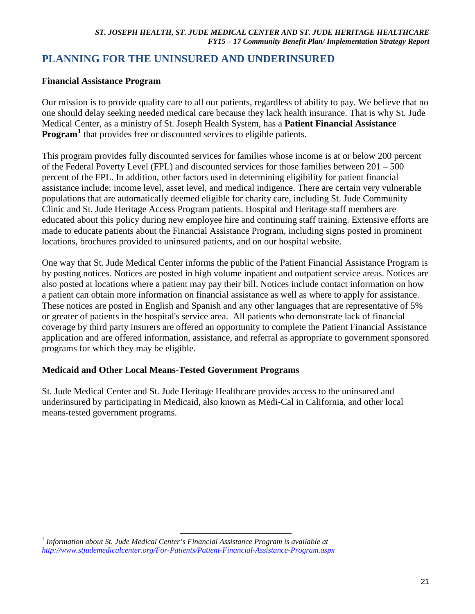## **PLANNING FOR THE UNINSURED AND UNDERINSURED**

### **Financial Assistance Program**

Our mission is to provide quality care to all our patients, regardless of ability to pay. We believe that no one should delay seeking needed medical care because they lack health insurance. That is why St. Jude Medical Center, as a ministry of St. Joseph Health System, has a **Patient Financial Assistance Program<sup>[1](#page-20-0)</sup>** that provides free or discounted services to eligible patients.

This program provides fully discounted services for families whose income is at or below 200 percent of the Federal Poverty Level (FPL) and discounted services for those families between 201 – 500 percent of the FPL. In addition, other factors used in determining eligibility for patient financial assistance include: income level, asset level, and medical indigence. There are certain very vulnerable populations that are automatically deemed eligible for charity care, including St. Jude Community Clinic and St. Jude Heritage Access Program patients. Hospital and Heritage staff members are educated about this policy during new employee hire and continuing staff training. Extensive efforts are made to educate patients about the Financial Assistance Program, including signs posted in prominent locations, brochures provided to uninsured patients, and on our hospital website.

One way that St. Jude Medical Center informs the public of the Patient Financial Assistance Program is by posting notices. Notices are posted in high volume inpatient and outpatient service areas. Notices are also posted at locations where a patient may pay their bill. Notices include contact information on how a patient can obtain more information on financial assistance as well as where to apply for assistance. These notices are posted in English and Spanish and any other languages that are representative of 5% or greater of patients in the hospital's service area. All patients who demonstrate lack of financial coverage by third party insurers are offered an opportunity to complete the Patient Financial Assistance application and are offered information, assistance, and referral as appropriate to government sponsored programs for which they may be eligible.

### **Medicaid and Other Local Means-Tested Government Programs**

St. Jude Medical Center and St. Jude Heritage Healthcare provides access to the uninsured and underinsured by participating in Medicaid, also known as Medi-Cal in California, and other local means-tested government programs.

<span id="page-20-0"></span><sup>1</sup> *Information about St. Jude Medical Center's Financial Assistance Program is available at <http://www.stjudemedicalcenter.org/For-Patients/Patient-Financial-Assistance-Program.aspx>*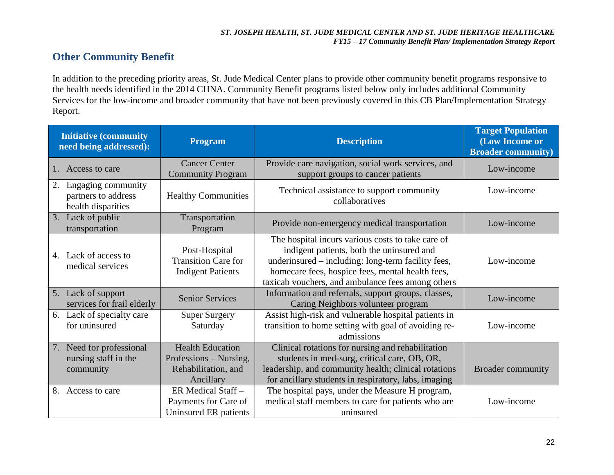## **Other Community Benefit**

In addition to the preceding priority areas, St. Jude Medical Center plans to provide other community benefit programs responsive to the health needs identified in the 2014 CHNA. Community Benefit programs listed below only includes additional Community Services for the low-income and broader community that have not been previously covered in this CB Plan/Implementation Strategy Report.

| <b>Initiative (community)</b><br>need being addressed):               | <b>Program</b>                                                                        | <b>Description</b>                                                                                                                                                                                                                                            | <b>Target Population</b><br>(Low Income or<br><b>Broader community)</b> |
|-----------------------------------------------------------------------|---------------------------------------------------------------------------------------|---------------------------------------------------------------------------------------------------------------------------------------------------------------------------------------------------------------------------------------------------------------|-------------------------------------------------------------------------|
| Access to care                                                        | <b>Cancer Center</b><br><b>Community Program</b>                                      | Provide care navigation, social work services, and<br>support groups to cancer patients                                                                                                                                                                       | Low-income                                                              |
| Engaging community<br>2.<br>partners to address<br>health disparities | <b>Healthy Communities</b>                                                            | Technical assistance to support community<br>collaboratives                                                                                                                                                                                                   | Low-income                                                              |
| Lack of public<br>3.<br>transportation                                | Transportation<br>Program                                                             | Provide non-emergency medical transportation                                                                                                                                                                                                                  | Low-income                                                              |
| 4. Lack of access to<br>medical services                              | Post-Hospital<br><b>Transition Care for</b><br><b>Indigent Patients</b>               | The hospital incurs various costs to take care of<br>indigent patients, both the uninsured and<br>underinsured – including: long-term facility fees,<br>homecare fees, hospice fees, mental health fees,<br>taxicab vouchers, and ambulance fees among others | Low-income                                                              |
| 5. Lack of support<br>services for frail elderly                      | <b>Senior Services</b>                                                                | Information and referrals, support groups, classes,<br>Caring Neighbors volunteer program                                                                                                                                                                     | Low-income                                                              |
| 6. Lack of specialty care<br>for uninsured                            | <b>Super Surgery</b><br>Saturday                                                      | Assist high-risk and vulnerable hospital patients in<br>transition to home setting with goal of avoiding re-<br>admissions                                                                                                                                    | Low-income                                                              |
| Need for professional<br>7.<br>nursing staff in the<br>community      | <b>Health Education</b><br>Professions – Nursing,<br>Rehabilitation, and<br>Ancillary | Clinical rotations for nursing and rehabilitation<br>students in med-surg, critical care, OB, OR,<br>leadership, and community health; clinical rotations<br>for ancillary students in respiratory, labs, imaging                                             | <b>Broader community</b>                                                |
| 8.<br>Access to care                                                  | ER Medical Staff-<br>Payments for Care of<br>Uninsured ER patients                    | The hospital pays, under the Measure H program,<br>medical staff members to care for patients who are<br>uninsured                                                                                                                                            | Low-income                                                              |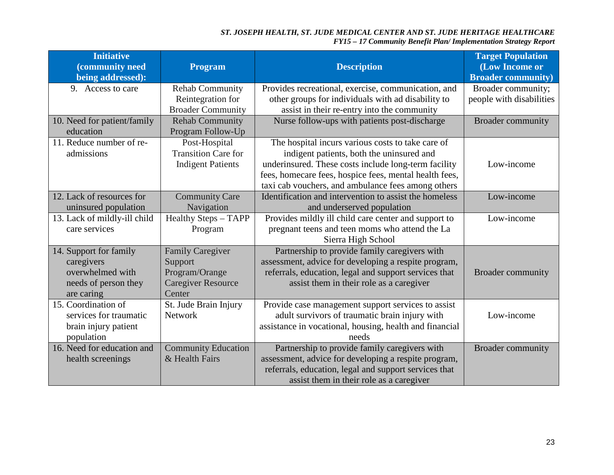| <b>Initiative</b><br>(community need<br>being addressed):                                      | <b>Program</b>                                                                              | <b>Description</b>                                                                                                                                                                                                                                                     | <b>Target Population</b><br>(Low Income or<br><b>Broader community)</b> |
|------------------------------------------------------------------------------------------------|---------------------------------------------------------------------------------------------|------------------------------------------------------------------------------------------------------------------------------------------------------------------------------------------------------------------------------------------------------------------------|-------------------------------------------------------------------------|
| 9. Access to care                                                                              | <b>Rehab Community</b><br>Reintegration for<br><b>Broader Community</b>                     | Provides recreational, exercise, communication, and<br>other groups for individuals with ad disability to<br>assist in their re-entry into the community                                                                                                               | Broader community;<br>people with disabilities                          |
| 10. Need for patient/family<br>education                                                       | <b>Rehab Community</b><br>Program Follow-Up                                                 | Nurse follow-ups with patients post-discharge                                                                                                                                                                                                                          | <b>Broader community</b>                                                |
| 11. Reduce number of re-<br>admissions                                                         | Post-Hospital<br><b>Transition Care for</b><br><b>Indigent Patients</b>                     | The hospital incurs various costs to take care of<br>indigent patients, both the uninsured and<br>underinsured. These costs include long-term facility<br>fees, homecare fees, hospice fees, mental health fees,<br>taxi cab vouchers, and ambulance fees among others | Low-income                                                              |
| 12. Lack of resources for<br>uninsured population                                              | <b>Community Care</b><br>Navigation                                                         | Identification and intervention to assist the homeless<br>and underserved population                                                                                                                                                                                   | Low-income                                                              |
| 13. Lack of mildly-ill child<br>care services                                                  | <b>Healthy Steps - TAPP</b><br>Program                                                      | Provides mildly ill child care center and support to<br>pregnant teens and teen moms who attend the La<br>Sierra High School                                                                                                                                           | Low-income                                                              |
| 14. Support for family<br>caregivers<br>overwhelmed with<br>needs of person they<br>are caring | <b>Family Caregiver</b><br>Support<br>Program/Orange<br><b>Caregiver Resource</b><br>Center | Partnership to provide family caregivers with<br>assessment, advice for developing a respite program,<br>referrals, education, legal and support services that<br>assist them in their role as a caregiver                                                             | <b>Broader community</b>                                                |
| 15. Coordination of<br>services for traumatic<br>brain injury patient<br>population            | St. Jude Brain Injury<br><b>Network</b>                                                     | Provide case management support services to assist<br>adult survivors of traumatic brain injury with<br>assistance in vocational, housing, health and financial<br>needs                                                                                               | Low-income                                                              |
| 16. Need for education and<br>health screenings                                                | <b>Community Education</b><br>& Health Fairs                                                | Partnership to provide family caregivers with<br>assessment, advice for developing a respite program,<br>referrals, education, legal and support services that<br>assist them in their role as a caregiver                                                             | <b>Broader community</b>                                                |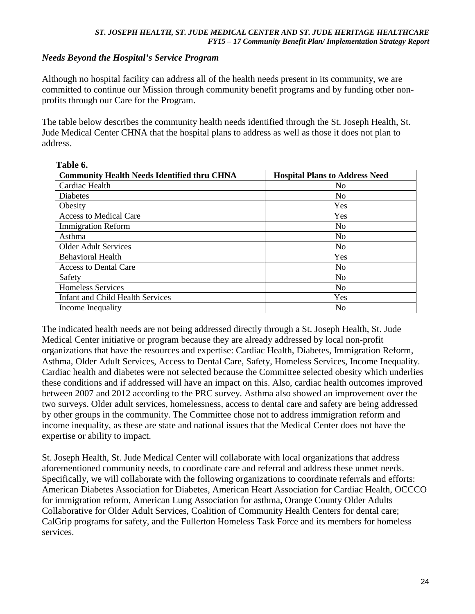## *Needs Beyond the Hospital's Service Program*

**Table 6.** 

Although no hospital facility can address all of the health needs present in its community, we are committed to continue our Mission through community benefit programs and by funding other nonprofits through our Care for the Program.

The table below describes the community health needs identified through the St. Joseph Health, St. Jude Medical Center CHNA that the hospital plans to address as well as those it does not plan to address.

| Table 6.                                           |                                       |  |  |  |
|----------------------------------------------------|---------------------------------------|--|--|--|
| <b>Community Health Needs Identified thru CHNA</b> | <b>Hospital Plans to Address Need</b> |  |  |  |
| Cardiac Health                                     | No                                    |  |  |  |
| Diabetes                                           | N <sub>0</sub>                        |  |  |  |
| Obesity                                            | Yes                                   |  |  |  |
| <b>Access to Medical Care</b>                      | Yes                                   |  |  |  |
| <b>Immigration Reform</b>                          | N <sub>o</sub>                        |  |  |  |
| Asthma                                             | N <sub>0</sub>                        |  |  |  |
| <b>Older Adult Services</b>                        | N <sub>0</sub>                        |  |  |  |
| <b>Behavioral Health</b>                           | Yes                                   |  |  |  |
| Access to Dental Care                              | N <sub>0</sub>                        |  |  |  |
| Safety                                             | N <sub>0</sub>                        |  |  |  |
| <b>Homeless Services</b>                           | N <sub>0</sub>                        |  |  |  |
| <b>Infant and Child Health Services</b>            | Yes                                   |  |  |  |
| Income Inequality                                  | No                                    |  |  |  |

The indicated health needs are not being addressed directly through a St. Joseph Health, St. Jude Medical Center initiative or program because they are already addressed by local non-profit organizations that have the resources and expertise: Cardiac Health, Diabetes, Immigration Reform, Asthma, Older Adult Services, Access to Dental Care, Safety, Homeless Services, Income Inequality. Cardiac health and diabetes were not selected because the Committee selected obesity which underlies these conditions and if addressed will have an impact on this. Also, cardiac health outcomes improved between 2007 and 2012 according to the PRC survey. Asthma also showed an improvement over the two surveys. Older adult services, homelessness, access to dental care and safety are being addressed by other groups in the community. The Committee chose not to address immigration reform and income inequality, as these are state and national issues that the Medical Center does not have the expertise or ability to impact.

St. Joseph Health, St. Jude Medical Center will collaborate with local organizations that address aforementioned community needs, to coordinate care and referral and address these unmet needs. Specifically, we will collaborate with the following organizations to coordinate referrals and efforts: American Diabetes Association for Diabetes, American Heart Association for Cardiac Health, OCCCO for immigration reform, American Lung Association for asthma, Orange County Older Adults Collaborative for Older Adult Services, Coalition of Community Health Centers for dental care; CalGrip programs for safety, and the Fullerton Homeless Task Force and its members for homeless services.